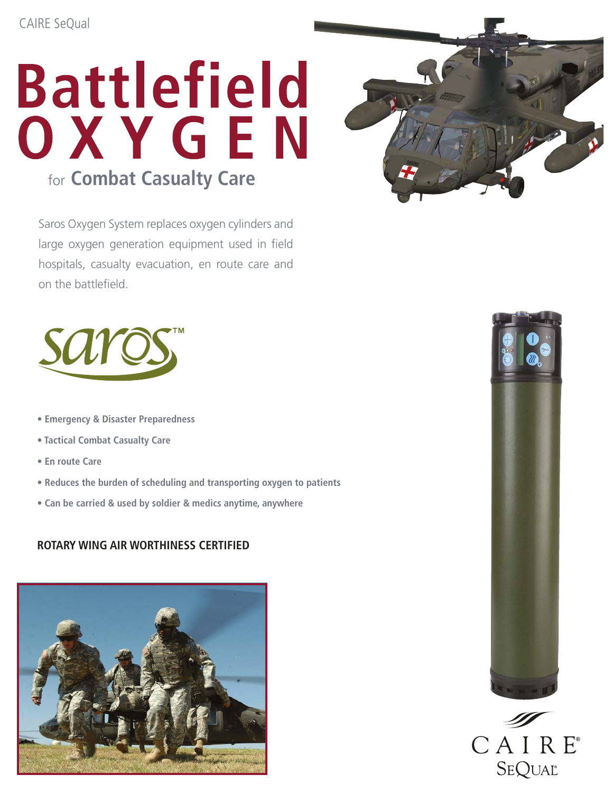# **Battlefield** OXYGEN for **Combat Casualty Care**

Saros Oxygen System replaces oxygen cylinders and large oxygen generation equipment used in field hospitals, casualty evacuation, en route care and on the battlefield.



- **Emergency & Disaster Preparedness**
- **Tactical Combat Casualty Care**
- **En route Care**
- **Reduces the burden of scheduling and transporting oxygen to patients**
- **Can be carried & used by soldier & medics anytime, anywhere**

#### **Rotary Wing Air Wort hiness cert ified**